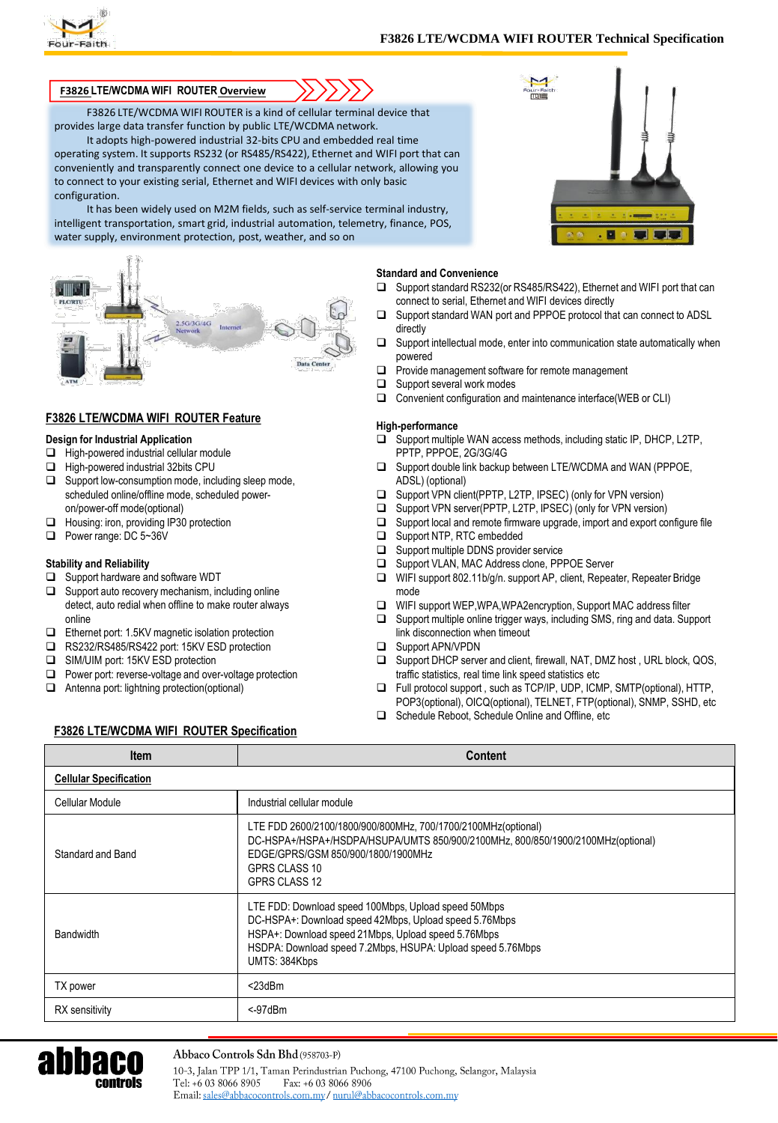

### **F3826 LTE/WCDMA WIFI ROUTER Overview**

F3826 LTE/WCDMA WIFI ROUTER is a kind of cellular terminal device that provides large data transfer function by public LTE/WCDMA network.

It adopts high-powered industrial 32-bits CPU and embedded real time operating system. It supports RS232 (or RS485/RS422), Ethernet and WIFI port that can conveniently and transparently connect one device to a cellular network, allowing you to connect to your existing serial, Ethernet and WIFI devices with only basic configuration.

It has been widely used on M2M fields, such as self-service terminal industry, intelligent transportation, smart grid, industrial automation, telemetry, finance, POS, water supply, environment protection, post, weather, and so on



# **F3826 LTE/WCDMA WIFI ROUTER Feature**

#### **Design for Industrial Application**

- $\Box$  High-powered industrial cellular module
- □ High-powered industrial 32bits CPU
- $\Box$  Support low-consumption mode, including sleep mode, scheduled online/offline mode, scheduled poweron/power-off mode(optional)
- Housing: iron, providing IP30 protection
- Power range: DC 5~36V

#### **Stability and Reliability**

- □ Support hardware and software WDT
- $\Box$  Support auto recovery mechanism, including online detect, auto redial when offline to make router always online
- □ Ethernet port: 1.5KV magnetic isolation protection
- □ RS232/RS485/RS422 port: 15KV ESD protection
- □ SIM/UIM port: 15KV ESD protection
- $\Box$  Power port: reverse-voltage and over-voltage protection
- Antenna port: lightning protection(optional)

E 5 E F

#### **Standard and Convenience**

- □ Support standard RS232(or RS485/RS422), Ethernet and WIFI port that can connect to serial, Ethernet and WIFI devices directly
- □ Support standard WAN port and PPPOE protocol that can connect to ADSL directly
- $\Box$  Support intellectual mode, enter into communication state automatically when powered
- $\Box$  Provide management software for remote management
- $\Box$  Support several work modes
- Convenient configuration and maintenance interface(WEB or CLI)

#### **High-performance**

- $\square$  Support multiple WAN access methods, including static IP, DHCP, L2TP, PPTP, PPPOE, 2G/3G/4G
- $\Box$  Support double link backup between LTE/WCDMA and WAN (PPPOE, ADSL) (optional)
- □ Support VPN client(PPTP, L2TP, IPSEC) (only for VPN version)
- □ Support VPN server(PPTP, L2TP, IPSEC) (only for VPN version)
- $\Box$  Support local and remote firmware upgrade, import and export configure file
- Support NTP, RTC embedded
- □ Support multiple DDNS provider service
- $\square$  Support VLAN, MAC Address clone, PPPOE Server<br> $\square$  WIFI support 802.11b/a/n. support AP. client. Repea
- WIFI support 802.11b/g/n. support AP, client, Repeater, Repeater Bridge mode
- WIFI support WEP,WPA,WPA2encryption, Support MAC address filter
- □ Support multiple online trigger ways, including SMS, ring and data. Support link disconnection when timeout
- □ Support APN/VPDN
- □ Support DHCP server and client, firewall, NAT, DMZ host, URL block, QOS, traffic statistics, real time link speed statistics etc
- Full protocol support , such as TCP/IP, UDP, ICMP, SMTP(optional), HTTP, POP3(optional), OICQ(optional), TELNET, FTP(optional), SNMP, SSHD, etc
- □ Schedule Reboot, Schedule Online and Offline, etc

## **F3826 LTE/WCDMA WIFI ROUTER Specification**

| <b>Item</b>                   | <b>Content</b>                                                                                                                                                                                                                                        |
|-------------------------------|-------------------------------------------------------------------------------------------------------------------------------------------------------------------------------------------------------------------------------------------------------|
| <b>Cellular Specification</b> |                                                                                                                                                                                                                                                       |
| Cellular Module               | Industrial cellular module                                                                                                                                                                                                                            |
| Standard and Band             | LTE FDD 2600/2100/1800/900/800MHz, 700/1700/2100MHz(optional)<br>DC-HSPA+/HSPA+/HSDPA/HSUPA/UMTS 850/900/2100MHz, 800/850/1900/2100MHz(optional)<br>EDGE/GPRS/GSM 850/900/1800/1900MHz<br>GPRS CLASS 10<br>GPRS CLASS 12                              |
| <b>Bandwidth</b>              | LTE FDD: Download speed 100Mbps, Upload speed 50Mbps<br>DC-HSPA+: Download speed 42Mbps, Upload speed 5.76Mbps<br>HSPA+: Download speed 21Mbps, Upload speed 5.76Mbps<br>HSDPA: Download speed 7.2Mbps, HSUPA: Upload speed 5.76Mbps<br>UMTS: 384Kbps |
| TX power                      | $<$ 23dBm                                                                                                                                                                                                                                             |
| RX sensitivity                | < 97dBr                                                                                                                                                                                                                                               |



10-3, Jalan TPP 1/1, Taman Perindustrian Puchong, 47100 Puchong, Selangor, Malaysia Tel: +6 03 8066 8905 Fax: +6 03 8066 8906 Email: sales@abbacocontrols.com.my/ nurul@abbacocontrols.com.my